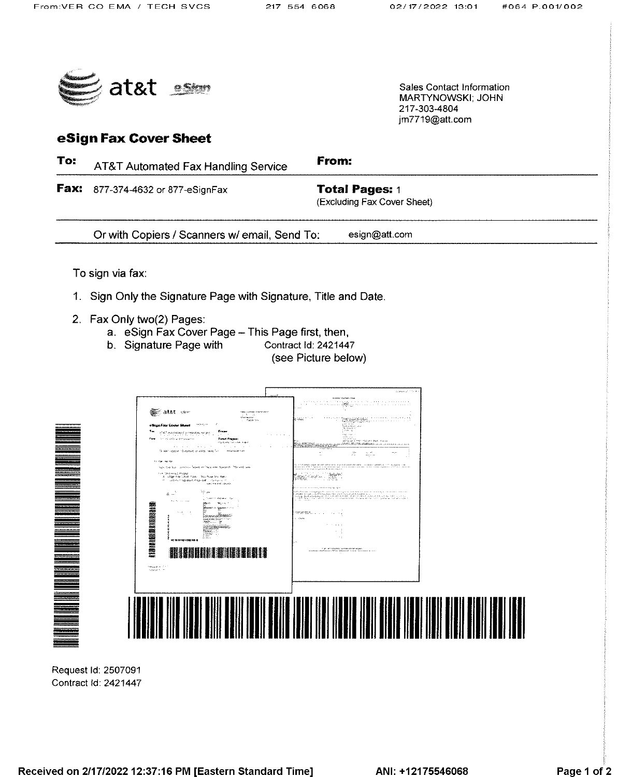217-303-4804 im7719@att.com

Sales Contact Information **MARTYNOWSKI: JOHN** 



# eSign Fax Cover Sheet

To: From: AT&T Automated Fax Handling Service Fax: 877-374-4632 or 877-eSignFax **Total Pages: 1** (Excluding Fax Cover Sheet) Or with Copiers / Scanners w/ email, Send To: esign@att.com To sign via fax: 1. Sign Only the Signature Page with Signature, Title and Date. 2. Fax Only two(2) Pages: a. eSign Fax Cover Page - This Page first, then, b. Signature Page with Contract Id: 2421447 (see Picture below) page the recover See atat son har anns<br>Aleisimean<br>Team air **THE REAL PROPERTY AND REAL** ar and a **" " " " " " " " " " " " "** 鹽 **THE BULLER IN THE UP**  $\label{eq:optimal} \begin{array}{ll} \log \log \log m & \delta \leq 1\\ \log \log \log m & \delta \leq 1. \end{array}$ 

Request Id: 2507091 Contract Id: 2421447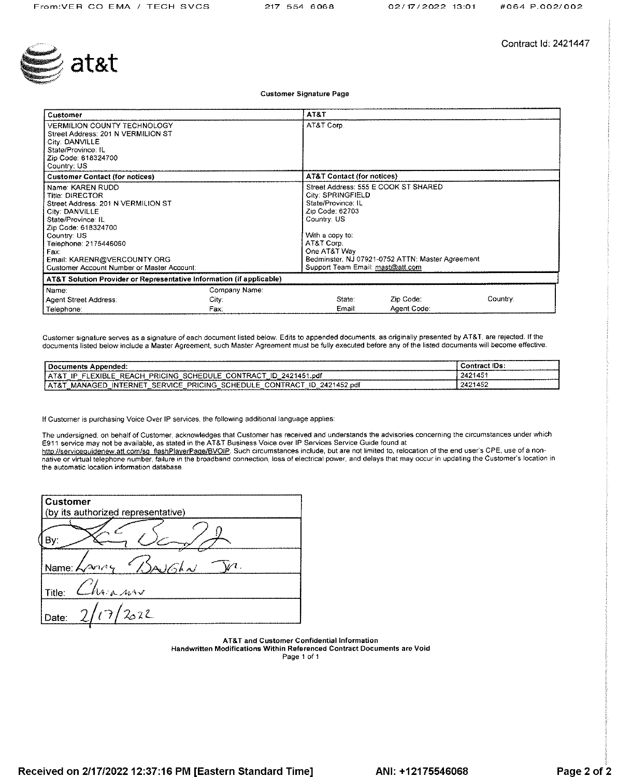

Contract Id: 2421447

**Customer Signature Page** 

| Customer                                                                                                                                                                                                                                                                     |                                | AT&T                                                                                                                                                                                                                                                       |                          |          |
|------------------------------------------------------------------------------------------------------------------------------------------------------------------------------------------------------------------------------------------------------------------------------|--------------------------------|------------------------------------------------------------------------------------------------------------------------------------------------------------------------------------------------------------------------------------------------------------|--------------------------|----------|
| <b>VERMILION COUNTY TECHNOLOGY</b><br>Street Address: 201 N VERMILION ST<br>City: DANVILLE<br>State/Province: IL<br>Zip Code: 618324700<br>Country: US                                                                                                                       |                                | AT&T Corp.                                                                                                                                                                                                                                                 |                          |          |
| <b>Customer Contact (for notices)</b>                                                                                                                                                                                                                                        |                                | <b>AT&amp;T Contact (for notices)</b>                                                                                                                                                                                                                      |                          |          |
| Name: KAREN RUDD<br><b>Title: DIRECTOR</b><br>Street Address: 201 N VERMILION ST<br>City: DANVILLE<br>State/Province: IL<br>Zip Code: 618324700<br>Country: US<br>Telephone: 2175446060<br>Fax:<br>Email: KARENR@VERCOUNTY.ORG<br>Customer Account Number or Master Account: |                                | Street Address: 555 E COOK ST SHARED<br>City: SPRINGFIELD<br>State/Province: IL<br>Zip Code: 62703<br>Country: US<br>With a copy to:<br>AT&T Corp.<br>One AT&T Way<br>Bedminster, NJ 07921-0752 ATTN: Master Agreement<br>Support Team Email: mast@att.com |                          |          |
| AT&T Solution Provider or Representative Information (if applicable)                                                                                                                                                                                                         |                                |                                                                                                                                                                                                                                                            |                          |          |
| Name:<br>Agent Street Address:<br>Telephone:                                                                                                                                                                                                                                 | Company Name:<br>City:<br>Fax: | State:<br>Email:                                                                                                                                                                                                                                           | Zip Code:<br>Agent Code: | Country: |

Customer signature serves as a signature of each document listed below. Edits to appended documents, as originally presented by AT&T, are rejected. If the documents listed below include a Master Agreement, such Master Agreement must be fully executed before any of the listed documents will become effective.

| -------------------<br>cuments                                                                                         | łВ                 |
|------------------------------------------------------------------------------------------------------------------------|--------------------|
| .ndf<br><b>CING</b><br>יפם.<br>.<br>- 175                                                                              | AC<br>.<br>--<br>. |
| .ndf<br>PRICING<br>$\sim$<br>ΉЕ<br>.RNE<br>ור ום<br>١N<br>п.<br>۰Δ.<br>NA<br>. т. в.<br>--<br>$\overline{\phantom{a}}$ | 124AET<br>.        |

If Customer is purchasing Voice Over IP services, the following additional language applies:

The undersigned, on behalf of Customer, acknowledges that Customer has received and understands the advisories concerning the circumstances under which E911 service may not be available, as stated in the AT&T Business Voice over IP Services Service Guide found at

http://serviceguidenew.att.com/sg\_flashPlayerPage/BVOIP. Such circumstances include, but are not limited to, relocation of the end user's CPE, use of a nonnative or virtual telephone number, failure in the broadband connection, loss of electrical power, and delays that may occur in updating the Customer's location in the automatic location information database.

| <b>Customer</b><br>(by its authorized representative) |
|-------------------------------------------------------|
|                                                       |
| A/dA<br>Name: $\sqrt{\lambda}$                        |
| Thair now<br>Title:                                   |
| (7/2022)<br>Date:                                     |

AT&T and Customer Confidential Information Handwritten Modifications Within Referenced Contract Documents are Void

Page 1 of 1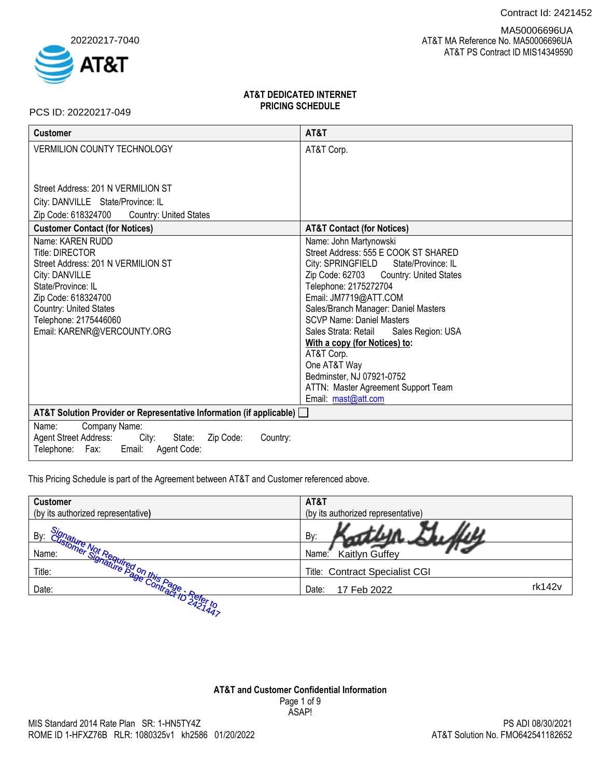Contract Id: 2421452



 AT&T MA Reference No. MA50006696UA AT&T PS Contract ID MIS14349590 MA50006696UA

# **AT&T DEDICATED INTERNET PRICING SCHEDULE**

PCS ID: 20220217-049

| <b>Customer</b>                                                          | AT&T                                        |
|--------------------------------------------------------------------------|---------------------------------------------|
| <b>VERMILION COUNTY TECHNOLOGY</b>                                       | AT&T Corp.                                  |
|                                                                          |                                             |
| Street Address: 201 N VERMILION ST                                       |                                             |
|                                                                          |                                             |
| City: DANVILLE State/Province: IL                                        |                                             |
| Zip Code: 618324700<br><b>Country: United States</b>                     |                                             |
| <b>Customer Contact (for Notices)</b>                                    | <b>AT&amp;T Contact (for Notices)</b>       |
| Name: KAREN RUDD                                                         | Name: John Martynowski                      |
| <b>Title: DIRECTOR</b>                                                   | Street Address: 555 E COOK ST SHARED        |
| Street Address: 201 N VERMILION ST                                       | City: SPRINGFIELD State/Province: IL        |
| City: DANVILLE                                                           | Zip Code: 62703 Country: United States      |
| State/Province: IL                                                       | Telephone: 2175272704                       |
| Zip Code: 618324700                                                      | Email: JM7719@ATT.COM                       |
| Country: United States                                                   | Sales/Branch Manager: Daniel Masters        |
| Telephone: 2175446060                                                    | <b>SCVP Name: Daniel Masters</b>            |
| Email: KARENR@VERCOUNTY.ORG                                              | Sales Strata: Retail<br>Sales Region: USA   |
|                                                                          | With a copy (for Notices) to:<br>AT&T Corp. |
|                                                                          | One AT&T Way                                |
|                                                                          | Bedminster, NJ 07921-0752                   |
|                                                                          | ATTN: Master Agreement Support Team         |
|                                                                          | Email: mast@att.com                         |
| AT&T Solution Provider or Representative Information (if applicable) [   |                                             |
| Company Name:<br>Name:                                                   |                                             |
| <b>Agent Street Address:</b><br>City:<br>Zip Code:<br>State:<br>Country: |                                             |
| Telephone: Fax: Email:<br>Agent Code:                                    |                                             |

This Pricing Schedule is part of the Agreement between AT&T and Customer referenced above.

| <b>Customer</b>                         | AT&T                               |
|-----------------------------------------|------------------------------------|
| (by its authorized representative)      | (by its authorized representative) |
| By:                                     | By:                                |
| Name:                                   | Kaitlyn Guffey<br>Name:            |
| <b>agnature on the state.</b><br>Title: | Title: Contract Specialist CGI     |
| Date:                                   | rk142v<br>Date:<br>17 Feb 2022     |
| 144.                                    |                                    |

**AT&T and Customer Confidential Information** Page 1 of 9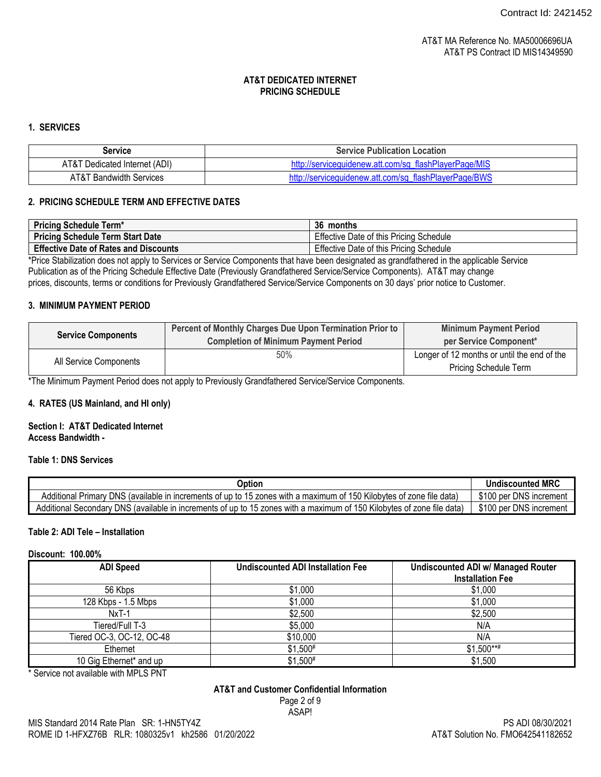# **1. SERVICES**

| Service                            | <b>Service Publication Location</b>                   |  |
|------------------------------------|-------------------------------------------------------|--|
| AT&T Dedicated Internet (ADI)      | http://serviceguidenew.att.com/sg_flashPlayerPage/MIS |  |
| <b>AT&amp;T Bandwidth Services</b> | http://serviceguidenew.att.com/sg_flashPlayerPage/BWS |  |

# **2. PRICING SCHEDULE TERM AND EFFECTIVE DATES**

| <b>Pricing Schedule Term*</b>                | 36 months                               |
|----------------------------------------------|-----------------------------------------|
| <b>Pricing Schedule Term Start Date</b>      | Effective Date of this Pricing Schedule |
| <b>Effective Date of Rates and Discounts</b> | Effective Date of this Pricing Schedule |

\*Price Stabilization does not apply to Services or Service Components that have been designated as grandfathered in the applicable Service Publication as of the Pricing Schedule Effective Date (Previously Grandfathered Service/Service Components). AT&T may change prices, discounts, terms or conditions for Previously Grandfathered Service/Service Components on 30 days' prior notice to Customer.

# **3. MINIMUM PAYMENT PERIOD**

|                           | Percent of Monthly Charges Due Upon Termination Prior to | <b>Minimum Payment Period</b>               |
|---------------------------|----------------------------------------------------------|---------------------------------------------|
| <b>Service Components</b> | <b>Completion of Minimum Payment Period</b>              | per Service Component*                      |
|                           | 50%                                                      | Longer of 12 months or until the end of the |
| All Service Components    |                                                          | <b>Pricing Schedule Term</b>                |

\*The Minimum Payment Period does not apply to Previously Grandfathered Service/Service Components.

### **4. RATES (US Mainland, and HI only)**

#### **Section I: AT&T Dedicated Internet Access Bandwidth -**

### **Table 1: DNS Services**

| Option                                                                                                                 | <b>Undiscounted MRC</b> |
|------------------------------------------------------------------------------------------------------------------------|-------------------------|
| Additional Primary DNS (available in increments of up to 15 zones with a maximum of 150 Kilobytes of zone file data)   | \$100 per DNS increment |
| Additional Secondary DNS (available in increments of up to 15 zones with a maximum of 150 Kilobytes of zone file data) | \$100 per DNS increment |

### **Table 2: ADI Tele – Installation**

#### **Discount: 100.00%**

| <b>ADI Speed</b>          | <b>Undiscounted ADI Installation Fee</b> | <b>Undiscounted ADI w/ Managed Router</b><br><b>Installation Fee</b> |
|---------------------------|------------------------------------------|----------------------------------------------------------------------|
| 56 Kbps                   | \$1,000                                  | \$1,000                                                              |
| 128 Kbps - 1.5 Mbps       | \$1,000                                  | \$1,000                                                              |
| $NxT-1$                   | \$2,500                                  | \$2,500                                                              |
| Tiered/Full T-3           | \$5,000                                  | N/A                                                                  |
| Tiered OC-3, OC-12, OC-48 | \$10,000                                 | N/A                                                                  |
| Ethernet                  | $$1,500*$                                | $$1.500***$                                                          |
| 10 Gig Ethernet* and up   | $$1,500*$                                | \$1,500                                                              |

\* Service not available with MPLS PNT

# **AT&T and Customer Confidential Information**

Page 2 of 9 ASAP!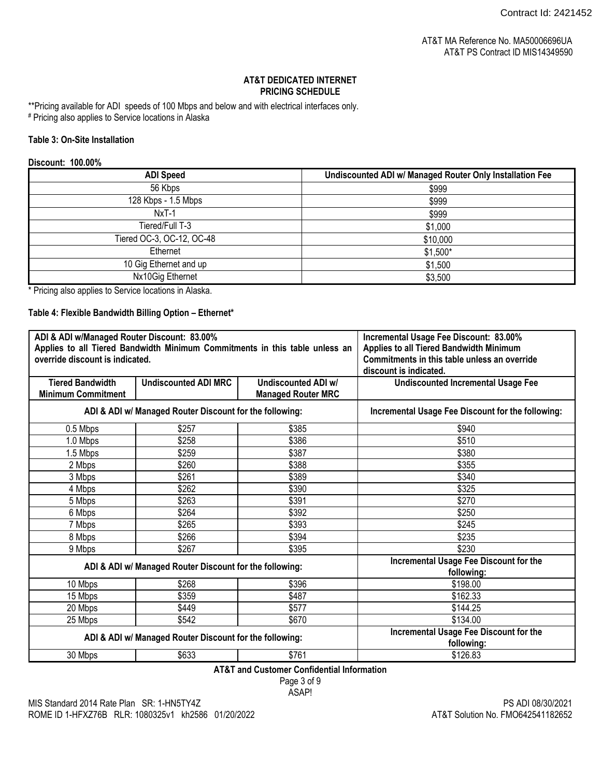\*\*Pricing available for ADI speeds of 100 Mbps and below and with electrical interfaces only.

# Pricing also applies to Service locations in Alaska

# **Table 3: On-Site Installation**

# **Discount: 100.00%**

| <b>ADI Speed</b>          | Undiscounted ADI w/ Managed Router Only Installation Fee |
|---------------------------|----------------------------------------------------------|
| 56 Kbps                   | \$999                                                    |
| 128 Kbps - 1.5 Mbps       | \$999                                                    |
| $NxT-1$                   | \$999                                                    |
| Tiered/Full T-3           | \$1,000                                                  |
| Tiered OC-3, OC-12, OC-48 | \$10,000                                                 |
| Ethernet                  | $$1,500*$                                                |
| 10 Gig Ethernet and up    | \$1,500                                                  |
| Nx10Gig Ethernet          | \$3,500                                                  |

\* Pricing also applies to Service locations in Alaska.

# **Table 4: Flexible Bandwidth Billing Option – Ethernet\***

| ADI & ADI w/Managed Router Discount: 83.00%<br>Applies to all Tiered Bandwidth Minimum Commitments in this table unless an<br>override discount is indicated. |                             | Incremental Usage Fee Discount: 83.00%<br>Applies to all Tiered Bandwidth Minimum<br>Commitments in this table unless an override<br>discount is indicated. |                                           |
|---------------------------------------------------------------------------------------------------------------------------------------------------------------|-----------------------------|-------------------------------------------------------------------------------------------------------------------------------------------------------------|-------------------------------------------|
| <b>Tiered Bandwidth</b><br><b>Minimum Commitment</b>                                                                                                          | <b>Undiscounted ADI MRC</b> | <b>Undiscounted ADI w/</b><br><b>Managed Router MRC</b>                                                                                                     | <b>Undiscounted Incremental Usage Fee</b> |
| ADI & ADI w/ Managed Router Discount for the following:                                                                                                       |                             | Incremental Usage Fee Discount for the following:                                                                                                           |                                           |
| 0.5 Mbps                                                                                                                                                      | \$257                       | \$385                                                                                                                                                       | \$940                                     |
| 1.0 Mbps                                                                                                                                                      | \$258                       | \$386                                                                                                                                                       | \$510                                     |
| 1.5 Mbps                                                                                                                                                      | \$259                       | \$387                                                                                                                                                       | \$380                                     |
| 2 Mbps                                                                                                                                                        | \$260                       | \$388                                                                                                                                                       | \$355                                     |
| 3 Mbps                                                                                                                                                        | \$261                       | \$389                                                                                                                                                       | \$340                                     |
| 4 Mbps                                                                                                                                                        | \$262                       | \$390                                                                                                                                                       | \$325                                     |
| 5 Mbps                                                                                                                                                        | \$263                       | \$391                                                                                                                                                       | \$270                                     |
| 6 Mbps                                                                                                                                                        | \$264                       | \$392                                                                                                                                                       | \$250                                     |
| 7 Mbps                                                                                                                                                        | \$265                       | \$393                                                                                                                                                       | \$245                                     |
| 8 Mbps                                                                                                                                                        | \$266                       | \$394                                                                                                                                                       | \$235                                     |
| 9 Mbps                                                                                                                                                        | \$267                       | \$395                                                                                                                                                       | \$230                                     |
| ADI & ADI w/ Managed Router Discount for the following:                                                                                                       |                             | Incremental Usage Fee Discount for the<br>following:                                                                                                        |                                           |
| 10 Mbps                                                                                                                                                       | \$268                       | \$396                                                                                                                                                       | \$198.00                                  |
| 15 Mbps                                                                                                                                                       | \$359                       | \$487                                                                                                                                                       | \$162.33                                  |
| 20 Mbps                                                                                                                                                       | \$449                       | \$577                                                                                                                                                       | \$144.25                                  |
| 25 Mbps                                                                                                                                                       | \$542                       | \$670                                                                                                                                                       | \$134.00                                  |
| ADI & ADI w/ Managed Router Discount for the following:                                                                                                       |                             | Incremental Usage Fee Discount for the<br>following:                                                                                                        |                                           |
| 30 Mbps                                                                                                                                                       | \$633                       | \$761                                                                                                                                                       | \$126.83                                  |
| AT&T and Customer Confidential Information                                                                                                                    |                             |                                                                                                                                                             |                                           |

**AT&T and Customer Confidential Information**

Page 3 of 9 ASAP!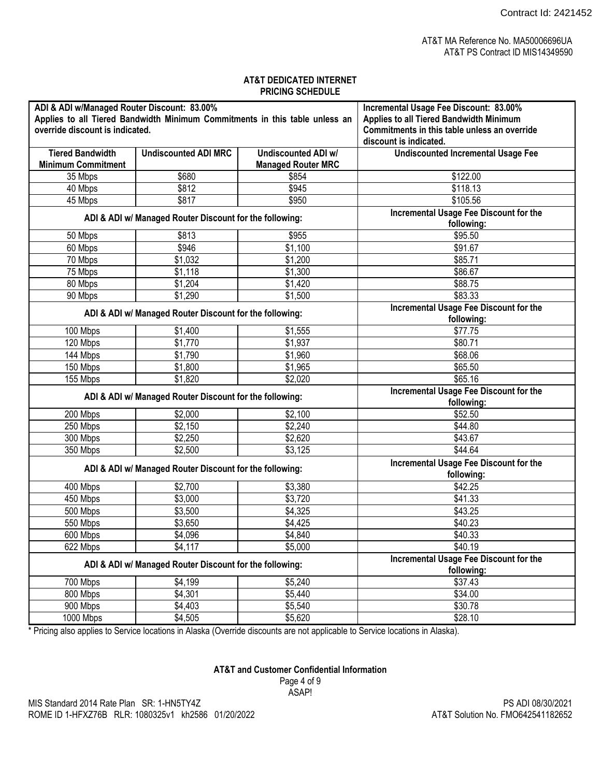| ADI & ADI w/Managed Router Discount: 83.00%<br>Applies to all Tiered Bandwidth Minimum Commitments in this table unless an<br>override discount is indicated. |                                                         | Incremental Usage Fee Discount: 83.00%<br>Applies to all Tiered Bandwidth Minimum<br>Commitments in this table unless an override<br>discount is indicated. |                                                      |
|---------------------------------------------------------------------------------------------------------------------------------------------------------------|---------------------------------------------------------|-------------------------------------------------------------------------------------------------------------------------------------------------------------|------------------------------------------------------|
| <b>Tiered Bandwidth</b>                                                                                                                                       | <b>Undiscounted ADI MRC</b>                             | <b>Undiscounted ADI w/</b>                                                                                                                                  | <b>Undiscounted Incremental Usage Fee</b>            |
| <b>Minimum Commitment</b>                                                                                                                                     |                                                         | <b>Managed Router MRC</b>                                                                                                                                   |                                                      |
| 35 Mbps                                                                                                                                                       | \$680                                                   | \$854                                                                                                                                                       | \$122.00                                             |
| 40 Mbps                                                                                                                                                       | \$812                                                   | \$945                                                                                                                                                       | \$118.13                                             |
| 45 Mbps                                                                                                                                                       | \$817                                                   | \$950                                                                                                                                                       | \$105.56                                             |
|                                                                                                                                                               | ADI & ADI w/ Managed Router Discount for the following: |                                                                                                                                                             | Incremental Usage Fee Discount for the<br>following: |
| 50 Mbps                                                                                                                                                       | \$813                                                   | \$955                                                                                                                                                       | \$95.50                                              |
| 60 Mbps                                                                                                                                                       | \$946                                                   | \$1,100                                                                                                                                                     | \$91.67                                              |
| 70 Mbps                                                                                                                                                       | \$1,032                                                 | \$1,200                                                                                                                                                     | \$85.71                                              |
| 75 Mbps                                                                                                                                                       | \$1,118                                                 | \$1,300                                                                                                                                                     | \$86.67                                              |
| 80 Mbps                                                                                                                                                       | \$1,204                                                 | \$1,420                                                                                                                                                     | \$88.75                                              |
| 90 Mbps                                                                                                                                                       | \$1,290                                                 | \$1,500                                                                                                                                                     | \$83.33                                              |
| ADI & ADI w/ Managed Router Discount for the following:                                                                                                       |                                                         |                                                                                                                                                             | Incremental Usage Fee Discount for the<br>following: |
| 100 Mbps                                                                                                                                                      | \$1,400                                                 | \$1,555                                                                                                                                                     | \$77.75                                              |
| 120 Mbps                                                                                                                                                      | \$1,770                                                 | \$1,937                                                                                                                                                     | \$80.71                                              |
| 144 Mbps                                                                                                                                                      | \$1,790                                                 | \$1,960                                                                                                                                                     | \$68.06                                              |
| 150 Mbps                                                                                                                                                      | \$1,800                                                 | \$1,965                                                                                                                                                     | \$65.50                                              |
| 155 Mbps                                                                                                                                                      | \$1,820                                                 | \$2,020                                                                                                                                                     | \$65.16                                              |
| ADI & ADI w/ Managed Router Discount for the following:                                                                                                       |                                                         | Incremental Usage Fee Discount for the<br>following:                                                                                                        |                                                      |
| 200 Mbps                                                                                                                                                      | \$2,000                                                 | \$2,100                                                                                                                                                     | \$52.50                                              |
| 250 Mbps                                                                                                                                                      | \$2,150                                                 | \$2,240                                                                                                                                                     | \$44.80                                              |
| 300 Mbps                                                                                                                                                      | \$2,250                                                 | \$2,620                                                                                                                                                     | \$43.67                                              |
| 350 Mbps                                                                                                                                                      | \$2,500                                                 | \$3,125                                                                                                                                                     | \$44.64                                              |
| ADI & ADI w/ Managed Router Discount for the following:                                                                                                       |                                                         |                                                                                                                                                             | Incremental Usage Fee Discount for the<br>following: |
| 400 Mbps                                                                                                                                                      | \$2,700                                                 | \$3,380                                                                                                                                                     | \$42.25                                              |
| 450 Mbps                                                                                                                                                      | \$3,000                                                 | \$3,720                                                                                                                                                     | \$41.33                                              |
| 500 Mbps                                                                                                                                                      | \$3,500                                                 | \$4,325                                                                                                                                                     | \$43.25                                              |
| 550 Mbps                                                                                                                                                      | \$3,650                                                 | \$4,425                                                                                                                                                     | \$40.23                                              |
| 600 Mbps                                                                                                                                                      | \$4,096                                                 | \$4,840                                                                                                                                                     | \$40.33                                              |
| 622 Mbps                                                                                                                                                      | \$4,117                                                 | \$5,000                                                                                                                                                     | \$40.19                                              |
| ADI & ADI w/ Managed Router Discount for the following:                                                                                                       |                                                         | Incremental Usage Fee Discount for the<br>following:                                                                                                        |                                                      |
| 700 Mbps                                                                                                                                                      | \$4,199                                                 | \$5,240                                                                                                                                                     | \$37.43                                              |
| 800 Mbps                                                                                                                                                      | \$4,301                                                 | \$5,440                                                                                                                                                     | \$34.00                                              |
| 900 Mbps                                                                                                                                                      | \$4,403                                                 | \$5,540                                                                                                                                                     | \$30.78                                              |
| 1000 Mbps                                                                                                                                                     | \$4,505                                                 | \$5,620                                                                                                                                                     | \$28.10                                              |

\* Pricing also applies to Service locations in Alaska (Override discounts are not applicable to Service locations in Alaska).

# **AT&T and Customer Confidential Information**

Page 4 of 9 ASAP!

PS ADI 08/30/2021 AT&T Solution No. FMO642541182652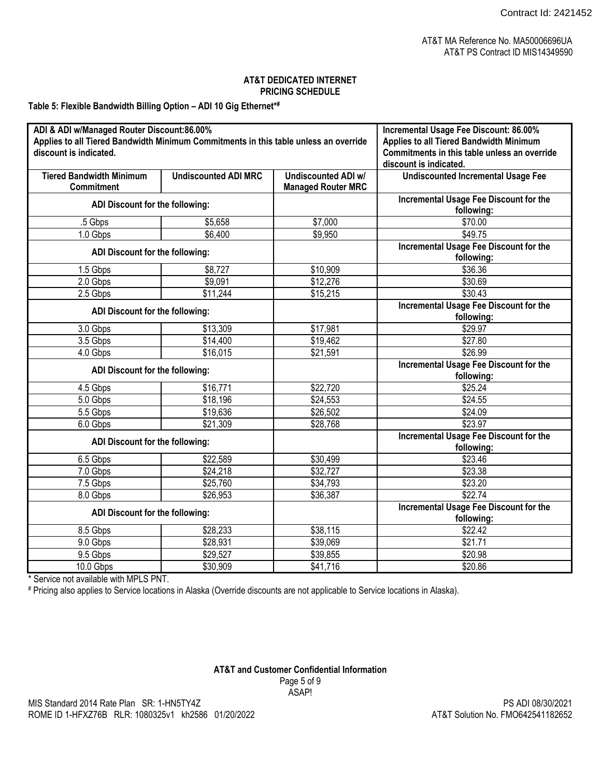**Table 5: Flexible Bandwidth Billing Option – ADI 10 Gig Ethernet\*#**

| ADI & ADI w/Managed Router Discount:86.00%<br>Applies to all Tiered Bandwidth Minimum Commitments in this table unless an override<br>discount is indicated. |                             |                                                         | Incremental Usage Fee Discount: 86.00%<br>Applies to all Tiered Bandwidth Minimum<br>Commitments in this table unless an override<br>discount is indicated. |
|--------------------------------------------------------------------------------------------------------------------------------------------------------------|-----------------------------|---------------------------------------------------------|-------------------------------------------------------------------------------------------------------------------------------------------------------------|
| <b>Tiered Bandwidth Minimum</b><br><b>Commitment</b>                                                                                                         | <b>Undiscounted ADI MRC</b> | <b>Undiscounted ADI w/</b><br><b>Managed Router MRC</b> | <b>Undiscounted Incremental Usage Fee</b>                                                                                                                   |
| ADI Discount for the following:                                                                                                                              |                             |                                                         | Incremental Usage Fee Discount for the<br>following:                                                                                                        |
| .5 Gbps                                                                                                                                                      | \$5,658                     | \$7,000                                                 | \$70.00                                                                                                                                                     |
| 1.0 Gbps                                                                                                                                                     | \$6,400                     | \$9,950                                                 | \$49.75                                                                                                                                                     |
| ADI Discount for the following:                                                                                                                              |                             |                                                         | Incremental Usage Fee Discount for the<br>following:                                                                                                        |
| 1.5 Gbps                                                                                                                                                     | \$8,727                     | \$10,909                                                | \$36.36                                                                                                                                                     |
| 2.0 Gbps                                                                                                                                                     | \$9,091                     | \$12,276                                                | \$30.69                                                                                                                                                     |
| 2.5 Gbps                                                                                                                                                     | \$11,244                    | \$15,215                                                | \$30.43                                                                                                                                                     |
|                                                                                                                                                              |                             |                                                         | Incremental Usage Fee Discount for the                                                                                                                      |
| ADI Discount for the following:                                                                                                                              |                             |                                                         | following:                                                                                                                                                  |
| 3.0 Gbps                                                                                                                                                     | \$13,309                    | \$17,981                                                | \$29.97                                                                                                                                                     |
| 3.5 Gbps                                                                                                                                                     | \$14,400                    | \$19,462                                                | \$27.80                                                                                                                                                     |
| 4.0 Gbps                                                                                                                                                     | \$16,015                    | \$21,591                                                | \$26.99                                                                                                                                                     |
| ADI Discount for the following:                                                                                                                              |                             |                                                         | <b>Incremental Usage Fee Discount for the</b><br>following:                                                                                                 |
| 4.5 Gbps                                                                                                                                                     | \$16,771                    | \$22,720                                                | \$25.24                                                                                                                                                     |
| 5.0 Gbps                                                                                                                                                     | \$18,196                    | \$24,553                                                | \$24.55                                                                                                                                                     |
| 5.5 Gbps                                                                                                                                                     | \$19,636                    | \$26,502                                                | \$24.09                                                                                                                                                     |
| 6.0 Gbps                                                                                                                                                     | \$21,309                    | \$28,768                                                | \$23.97                                                                                                                                                     |
|                                                                                                                                                              |                             |                                                         | <b>Incremental Usage Fee Discount for the</b>                                                                                                               |
| ADI Discount for the following:                                                                                                                              |                             |                                                         | following:                                                                                                                                                  |
| 6.5 Gbps                                                                                                                                                     | \$22,589                    | \$30,499                                                | \$23.46                                                                                                                                                     |
| 7.0 Gbps                                                                                                                                                     | \$24,218                    | \$32,727                                                | \$23.38                                                                                                                                                     |
| 7.5 Gbps                                                                                                                                                     | \$25,760                    | \$34,793                                                | \$23.20                                                                                                                                                     |
| 8.0 Gbps                                                                                                                                                     | \$26,953                    | \$36,387                                                | \$22.74                                                                                                                                                     |
| ADI Discount for the following:                                                                                                                              |                             |                                                         | Incremental Usage Fee Discount for the<br>following:                                                                                                        |
| 8.5 Gbps                                                                                                                                                     | \$28,233                    | \$38,115                                                | \$22.42                                                                                                                                                     |
| 9.0 Gbps                                                                                                                                                     | \$28,931                    | \$39,069                                                | \$21.71                                                                                                                                                     |
| 9.5 Gbps                                                                                                                                                     | \$29,527                    | \$39,855                                                | \$20.98                                                                                                                                                     |
| 10.0 Gbps                                                                                                                                                    | \$30,909                    | \$41,716                                                | \$20.86                                                                                                                                                     |

\* Service not available with MPLS PNT.

# Pricing also applies to Service locations in Alaska (Override discounts are not applicable to Service locations in Alaska).

### **AT&T and Customer Confidential Information** Page 5 of 9 ASAP!

PS ADI 08/30/2021 AT&T Solution No. FMO642541182652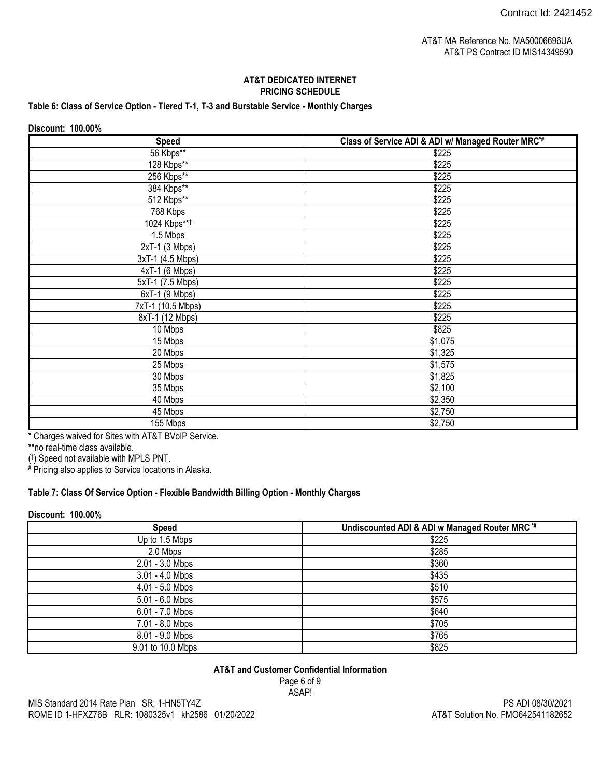# **Table 6: Class of Service Option - Tiered T-1, T-3 and Burstable Service - Monthly Charges**

| Discount: 100.00% |                                                                |
|-------------------|----------------------------------------------------------------|
| <b>Speed</b>      | Class of Service ADI & ADI w/ Managed Router MRC <sup>*#</sup> |
| 56 Kbps**         | \$225                                                          |
| 128 Kbps**        | \$225                                                          |
| 256 Kbps**        | \$225                                                          |
| 384 Kbps**        | \$225                                                          |
| 512 Kbps**        | \$225                                                          |
| 768 Kbps          | \$225                                                          |
| 1024 Kbps**1      | \$225                                                          |
| 1.5 Mbps          | \$225                                                          |
| $2xT-1$ (3 Mbps)  | \$225                                                          |
| 3xT-1 (4.5 Mbps)  | \$225                                                          |
| $4xT-1$ (6 Mbps)  | \$225                                                          |
| 5xT-1 (7.5 Mbps)  | \$225                                                          |
| 6xT-1 (9 Mbps)    | \$225                                                          |
| 7xT-1 (10.5 Mbps) | \$225                                                          |
| 8xT-1 (12 Mbps)   | \$225                                                          |
| 10 Mbps           | \$825                                                          |
| 15 Mbps           | \$1,075                                                        |
| 20 Mbps           | \$1,325                                                        |
| 25 Mbps           | \$1,575                                                        |
| 30 Mbps           | \$1,825                                                        |
| 35 Mbps           | \$2,100                                                        |
| 40 Mbps           | \$2,350                                                        |
| 45 Mbps           | \$2,750                                                        |
| 155 Mbps          | \$2,750                                                        |

\* Charges waived for Sites with AT&T BVoIP Service.

\*\*no real-time class available.

( † ) Speed not available with MPLS PNT. # Pricing also applies to Service locations in Alaska.

# **Table 7: Class Of Service Option - Flexible Bandwidth Billing Option - Monthly Charges**

# **Discount: 100.00%**

| <b>Speed</b>      | Undiscounted ADI & ADI w Managed Router MRC <sup>*#</sup> |
|-------------------|-----------------------------------------------------------|
| Up to 1.5 Mbps    | \$225                                                     |
| 2.0 Mbps          | \$285                                                     |
| 2.01 - 3.0 Mbps   | \$360                                                     |
| 3.01 - 4.0 Mbps   | \$435                                                     |
| 4.01 - 5.0 Mbps   | \$510                                                     |
| 5.01 - 6.0 Mbps   | \$575                                                     |
| 6.01 - 7.0 Mbps   | \$640                                                     |
| 7.01 - 8.0 Mbps   | \$705                                                     |
| 8.01 - 9.0 Mbps   | \$765                                                     |
| 9.01 to 10.0 Mbps | \$825                                                     |

### **AT&T and Customer Confidential Information**

Page 6 of 9 ASAP!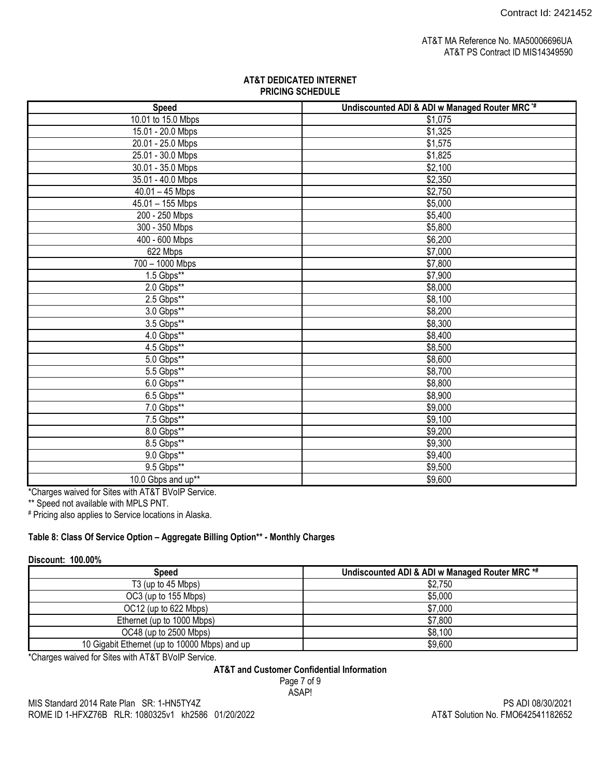| <b>Speed</b>       | Undiscounted ADI & ADI w Managed Router MRC <sup>*#</sup> |
|--------------------|-----------------------------------------------------------|
| 10.01 to 15.0 Mbps | \$1,075                                                   |
| 15.01 - 20.0 Mbps  | \$1,325                                                   |
| 20.01 - 25.0 Mbps  | \$1,575                                                   |
| 25.01 - 30.0 Mbps  | \$1,825                                                   |
| 30.01 - 35.0 Mbps  | \$2,100                                                   |
| 35.01 - 40.0 Mbps  | \$2,350                                                   |
| $40.01 - 45$ Mbps  | \$2,750                                                   |
| 45.01 - 155 Mbps   | \$5,000                                                   |
| 200 - 250 Mbps     | \$5,400                                                   |
| 300 - 350 Mbps     | \$5,800                                                   |
| 400 - 600 Mbps     | \$6,200                                                   |
| 622 Mbps           | \$7,000                                                   |
| 700 - 1000 Mbps    | \$7,800                                                   |
| 1.5 Gbps**         | \$7,900                                                   |
| $2.0$ Gbps**       | \$8,000                                                   |
| $2.5$ Gbps**       | \$8,100                                                   |
| 3.0 Gbps**         | \$8,200                                                   |
| 3.5 Gbps**         | \$8,300                                                   |
| 4.0 Gbps**         | \$8,400                                                   |
| $4.5$ Gbps**       | \$8,500                                                   |
| 5.0 Gbps**         | \$8,600                                                   |
| 5.5 Gbps**         | \$8,700                                                   |
| $6.0$ Gbps**       | \$8,800                                                   |
| $6.5$ Gbps**       | \$8,900                                                   |
| 7.0 Gbps**         | \$9,000                                                   |
| 7.5 Gbps**         | \$9,100                                                   |
| 8.0 Gbps**         | \$9,200                                                   |
| 8.5 Gbps**         | \$9,300                                                   |
| 9.0 Gbps**         | \$9,400                                                   |
| 9.5 Gbps**         | \$9,500                                                   |
| 10.0 Gbps and up** | \$9,600                                                   |

\*Charges waived for Sites with AT&T BVoIP Service.

\*\* Speed not available with MPLS PNT.

# Pricing also applies to Service locations in Alaska.

# **Table 8: Class Of Service Option – Aggregate Billing Option\*\* - Monthly Charges**

#### **Discount: 100.00%**

| Speed                                         | Undiscounted ADI & ADI w Managed Router MRC *# |
|-----------------------------------------------|------------------------------------------------|
| T <sub>3</sub> (up to 45 Mbps)                | \$2,750                                        |
| OC3 (up to 155 Mbps)                          | \$5,000                                        |
| OC12 (up to 622 Mbps)                         | \$7,000                                        |
| Ethernet (up to 1000 Mbps)                    | \$7,800                                        |
| OC48 (up to 2500 Mbps)                        | \$8,100                                        |
| 10 Gigabit Ethernet (up to 10000 Mbps) and up | \$9,600                                        |

\*Charges waived for Sites with AT&T BVoIP Service.

# **AT&T and Customer Confidential Information**

Page 7 of 9 ASAP!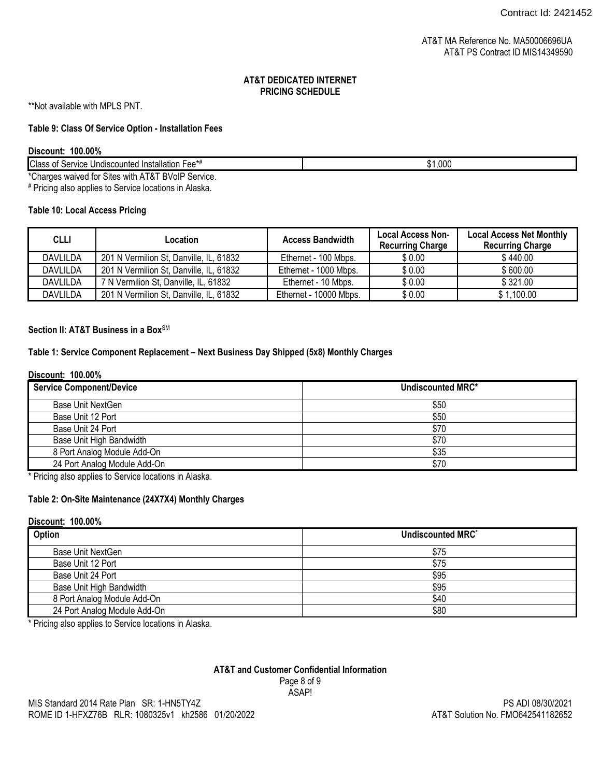\*\*Not available with MPLS PNT.

### **Table 9: Class Of Service Option - Installation Fees**

#### **Discount: 100.00%**

|  | <b>Class</b><br>Insta<br>Undiscounted<br>Service<br>''ntion<br>″^△△״−<br>ΩT<br>ialiui<br>- 66 | $\sim$<br>,uuc |
|--|-----------------------------------------------------------------------------------------------|----------------|
|--|-----------------------------------------------------------------------------------------------|----------------|

\*Charges waived for Sites with AT&T BVoIP Service.

# Pricing also applies to Service locations in Alaska.

# **Table 10: Local Access Pricing**

| <b>CLLI</b>     | Location                                | <b>Access Bandwidth</b> | <b>Local Access Non-</b><br><b>Recurring Charge</b> | <b>Local Access Net Monthly</b><br><b>Recurring Charge</b> |
|-----------------|-----------------------------------------|-------------------------|-----------------------------------------------------|------------------------------------------------------------|
| <b>DAVLILDA</b> | 201 N Vermilion St, Danville, IL, 61832 | Ethernet - 100 Mbps.    | \$0.00                                              | \$440.00                                                   |
| <b>DAVLILDA</b> | 201 N Vermilion St, Danville, IL, 61832 | Ethernet - 1000 Mbps.   | \$0.00                                              | \$600.00                                                   |
| <b>DAVLILDA</b> | 7 N Vermilion St, Danville, IL, 61832   | Ethernet - 10 Mbps.     | \$0.00                                              | \$321.00                                                   |
| <b>DAVLILDA</b> | 201 N Vermilion St, Danville, IL, 61832 | Ethernet - 10000 Mbps.  | \$0.00                                              | \$1,100.00                                                 |

#### Section II: AT&T Business in a Box<sup>SM</sup>

# **Table 1: Service Component Replacement – Next Business Day Shipped (5x8) Monthly Charges**

#### **Discount: 100.00%**

| <b>Service Component/Device</b> | <b>Undiscounted MRC*</b> |
|---------------------------------|--------------------------|
| Base Unit NextGen               | \$50                     |
| Base Unit 12 Port               | \$50                     |
| Base Unit 24 Port               | \$70                     |
| Base Unit High Bandwidth        | \$70                     |
| 8 Port Analog Module Add-On     | \$35                     |
| 24 Port Analog Module Add-On    | \$70                     |

\* Pricing also applies to Service locations in Alaska.

# **Table 2: On-Site Maintenance (24X7X4) Monthly Charges**

#### **Discount: 100.00%**

| Option                       | Undiscounted MRC* |
|------------------------------|-------------------|
| <b>Base Unit NextGen</b>     | \$75              |
| Base Unit 12 Port            | \$75              |
| Base Unit 24 Port            | \$95              |
| Base Unit High Bandwidth     | \$95              |
| 8 Port Analog Module Add-On  | \$40              |
| 24 Port Analog Module Add-On | \$80              |

\* Pricing also applies to Service locations in Alaska.

#### **AT&T and Customer Confidential Information** Page 8 of 9 ASAP!